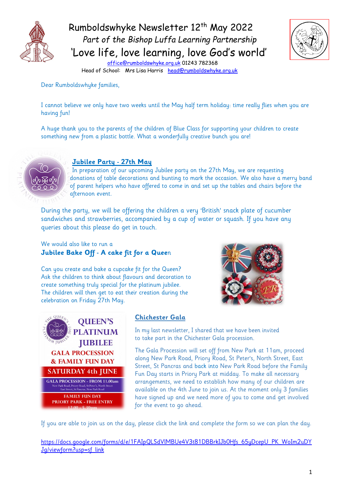

Rumboldswhyke Newsletter 12<sup>th</sup> May 2022 *Part of the Bishop Luffa Learning Partnership* 'Love life, love learning, love God's world'



[office@rumboldswhyke.org.uk](mailto:office@rumboldswhyke.org.uk) 01243 782368 Head of School: Mrs Lisa Harris [head@rumboldswhyke.org.uk](mailto:head@rumboldswhyke.org.uk)

#### Dear Rumboldswhyke families,

I cannot believe we only have two weeks until the May half term holiday: time really flies when you are having fun!

A huge thank you to the parents of the children of Blue Class for supporting your children to create something new from a plastic bottle. What a wonderfully creative bunch you are!



## **Jubilee Party - 27th May**

 In preparation of our upcoming Jubilee party on the 27th May, we are requesting donations of table decorations and bunting to mark the occasion. We also have a merry band of parent helpers who have offered to come in and set up the tables and chairs before the afternoon event.

During the party, we will be offering the children a very 'British' snack plate of cucumber sandwiches and strawberries, accompanied by a cup of water or squash. If you have any queries about this please do get in touch.

We would also like to run a **Jubilee Bake Off - A cake fit for a Quee**n

Can you create and bake a cupcake fit for the Queen? Ask the children to think about flavours and decoration to create something truly special for the platinum jubilee. The children will then get to eat their creation during the celebration on Friday 27th May.





#### **Chichester Gala**

In my last newsletter, I shared that we have been invited to take part in the Chichester Gala procession.

The Gala Procession will set off from New Park at 11am, proceed along New Park Road, Priory Road, St Peter's, North Street, East Street, St Pancras and back into New Park Road before the Family Fun Day starts in Priory Park at midday. To make all necessary arrangements, we need to establish how many of our children are available on the 4th June to join us. At the moment only 3 families have signed up and we need more of you to come and get involved for the event to go ahead.

If you are able to join us on the day, please click the link and complete the form so we can plan the day.

https://docs.google.com/forms/d/e/1FAIpQLSdVlMBUe4V3t81DBBrkIJb0Hfs\_65uDcepU\_PK\_WoIm2uDY [Jg/viewform?usp=sf\\_link](https://docs.google.com/forms/d/e/1FAIpQLSdVlMBUe4V3t81DBBrkIJb0Hfs_65yDcepU_PK_WoIm2uDYJg/viewform?usp=sf_link)